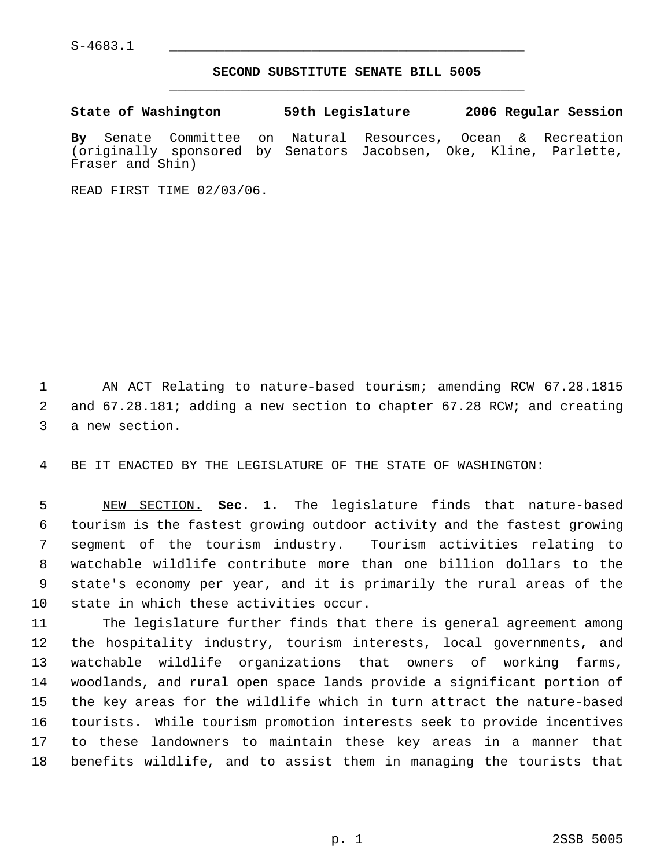S-4683.1 \_\_\_\_\_\_\_\_\_\_\_\_\_\_\_\_\_\_\_\_\_\_\_\_\_\_\_\_\_\_\_\_\_\_\_\_\_\_\_\_\_\_\_\_\_

## **SECOND SUBSTITUTE SENATE BILL 5005** \_\_\_\_\_\_\_\_\_\_\_\_\_\_\_\_\_\_\_\_\_\_\_\_\_\_\_\_\_\_\_\_\_\_\_\_\_\_\_\_\_\_\_\_\_

**State of Washington 59th Legislature 2006 Regular Session By** Senate Committee on Natural Resources, Ocean & Recreation (originally sponsored by Senators Jacobsen, Oke, Kline, Parlette, Fraser and Shin)

READ FIRST TIME 02/03/06.

 AN ACT Relating to nature-based tourism; amending RCW 67.28.1815 and 67.28.181; adding a new section to chapter 67.28 RCW; and creating a new section.

BE IT ENACTED BY THE LEGISLATURE OF THE STATE OF WASHINGTON:

 NEW SECTION. **Sec. 1.** The legislature finds that nature-based tourism is the fastest growing outdoor activity and the fastest growing segment of the tourism industry. Tourism activities relating to watchable wildlife contribute more than one billion dollars to the state's economy per year, and it is primarily the rural areas of the state in which these activities occur.

 The legislature further finds that there is general agreement among the hospitality industry, tourism interests, local governments, and watchable wildlife organizations that owners of working farms, woodlands, and rural open space lands provide a significant portion of the key areas for the wildlife which in turn attract the nature-based tourists. While tourism promotion interests seek to provide incentives to these landowners to maintain these key areas in a manner that benefits wildlife, and to assist them in managing the tourists that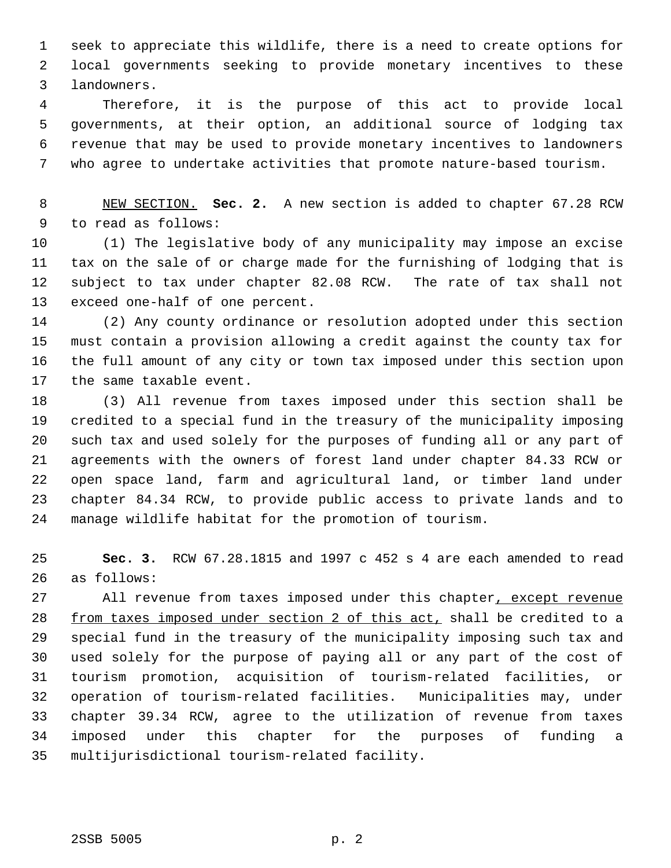seek to appreciate this wildlife, there is a need to create options for local governments seeking to provide monetary incentives to these landowners.

 Therefore, it is the purpose of this act to provide local governments, at their option, an additional source of lodging tax revenue that may be used to provide monetary incentives to landowners who agree to undertake activities that promote nature-based tourism.

 NEW SECTION. **Sec. 2.** A new section is added to chapter 67.28 RCW to read as follows:

 (1) The legislative body of any municipality may impose an excise tax on the sale of or charge made for the furnishing of lodging that is subject to tax under chapter 82.08 RCW. The rate of tax shall not exceed one-half of one percent.

 (2) Any county ordinance or resolution adopted under this section must contain a provision allowing a credit against the county tax for the full amount of any city or town tax imposed under this section upon the same taxable event.

 (3) All revenue from taxes imposed under this section shall be credited to a special fund in the treasury of the municipality imposing such tax and used solely for the purposes of funding all or any part of agreements with the owners of forest land under chapter 84.33 RCW or open space land, farm and agricultural land, or timber land under chapter 84.34 RCW, to provide public access to private lands and to manage wildlife habitat for the promotion of tourism.

 **Sec. 3.** RCW 67.28.1815 and 1997 c 452 s 4 are each amended to read as follows:

 All revenue from taxes imposed under this chapter, except revenue 28 from taxes imposed under section 2 of this act, shall be credited to a special fund in the treasury of the municipality imposing such tax and used solely for the purpose of paying all or any part of the cost of tourism promotion, acquisition of tourism-related facilities, or operation of tourism-related facilities. Municipalities may, under chapter 39.34 RCW, agree to the utilization of revenue from taxes imposed under this chapter for the purposes of funding a multijurisdictional tourism-related facility.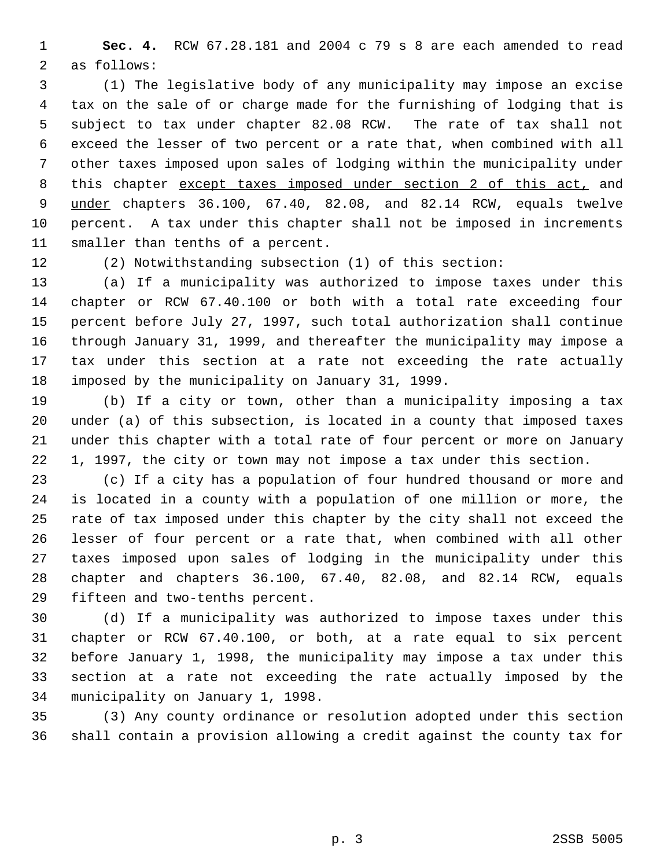**Sec. 4.** RCW 67.28.181 and 2004 c 79 s 8 are each amended to read as follows:

 (1) The legislative body of any municipality may impose an excise tax on the sale of or charge made for the furnishing of lodging that is subject to tax under chapter 82.08 RCW. The rate of tax shall not exceed the lesser of two percent or a rate that, when combined with all other taxes imposed upon sales of lodging within the municipality under 8 this chapter except taxes imposed under section 2 of this act, and 9 under chapters 36.100, 67.40, 82.08, and 82.14 RCW, equals twelve percent. A tax under this chapter shall not be imposed in increments smaller than tenths of a percent.

(2) Notwithstanding subsection (1) of this section:

 (a) If a municipality was authorized to impose taxes under this chapter or RCW 67.40.100 or both with a total rate exceeding four percent before July 27, 1997, such total authorization shall continue through January 31, 1999, and thereafter the municipality may impose a tax under this section at a rate not exceeding the rate actually imposed by the municipality on January 31, 1999.

 (b) If a city or town, other than a municipality imposing a tax under (a) of this subsection, is located in a county that imposed taxes under this chapter with a total rate of four percent or more on January 1, 1997, the city or town may not impose a tax under this section.

 (c) If a city has a population of four hundred thousand or more and is located in a county with a population of one million or more, the rate of tax imposed under this chapter by the city shall not exceed the lesser of four percent or a rate that, when combined with all other taxes imposed upon sales of lodging in the municipality under this chapter and chapters 36.100, 67.40, 82.08, and 82.14 RCW, equals fifteen and two-tenths percent.

 (d) If a municipality was authorized to impose taxes under this chapter or RCW 67.40.100, or both, at a rate equal to six percent before January 1, 1998, the municipality may impose a tax under this section at a rate not exceeding the rate actually imposed by the municipality on January 1, 1998.

 (3) Any county ordinance or resolution adopted under this section shall contain a provision allowing a credit against the county tax for